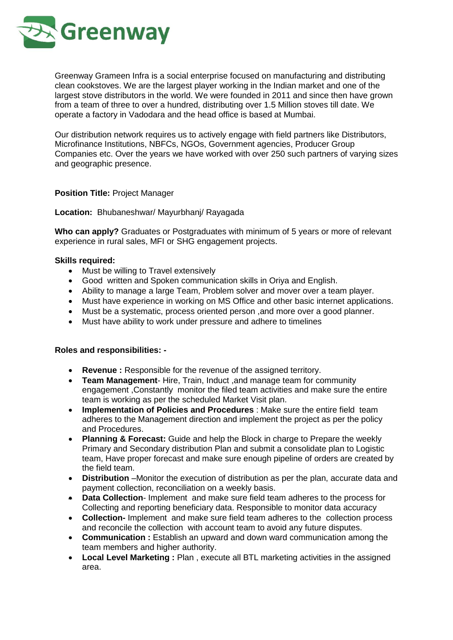

Greenway Grameen Infra is a social enterprise focused on manufacturing and distributing clean cookstoves. We are the largest player working in the Indian market and one of the largest stove distributors in the world. We were founded in 2011 and since then have grown from a team of three to over a hundred, distributing over 1.5 Million stoves till date. We operate a factory in Vadodara and the head office is based at Mumbai.

Our distribution network requires us to actively engage with field partners like Distributors, Microfinance Institutions, NBFCs, NGOs, Government agencies, Producer Group Companies etc. Over the years we have worked with over 250 such partners of varying sizes and geographic presence.

## **Position Title:** Project Manager

## **Location:** Bhubaneshwar/ Mayurbhanj/ Rayagada

**Who can apply?** Graduates or Postgraduates with minimum of 5 years or more of relevant experience in rural sales, MFI or SHG engagement projects.

## **Skills required:**

- Must be willing to Travel extensively
- Good written and Spoken communication skills in Oriya and English.
- Ability to manage a large Team, Problem solver and mover over a team player.
- Must have experience in working on MS Office and other basic internet applications.
- Must be a systematic, process oriented person ,and more over a good planner.
- Must have ability to work under pressure and adhere to timelines

## **Roles and responsibilities: -**

- **Revenue :** Responsible for the revenue of the assigned territory.
- **Team Management** Hire, Train, Induct ,and manage team for community engagement ,Constantly monitor the filed team activities and make sure the entire team is working as per the scheduled Market Visit plan.
- **Implementation of Policies and Procedures** : Make sure the entire field team adheres to the Management direction and implement the project as per the policy and Procedures.
- **Planning & Forecast:** Guide and help the Block in charge to Prepare the weekly Primary and Secondary distribution Plan and submit a consolidate plan to Logistic team, Have proper forecast and make sure enough pipeline of orders are created by the field team.
- **Distribution** –Monitor the execution of distribution as per the plan, accurate data and payment collection, reconciliation on a weekly basis.
- **Data Collection-** Implement and make sure field team adheres to the process for Collecting and reporting beneficiary data. Responsible to monitor data accuracy
- **Collection-** Implement and make sure field team adheres to the collection process and reconcile the collection with account team to avoid any future disputes.
- **Communication :** Establish an upward and down ward communication among the team members and higher authority.
- **Local Level Marketing :** Plan , execute all BTL marketing activities in the assigned area.